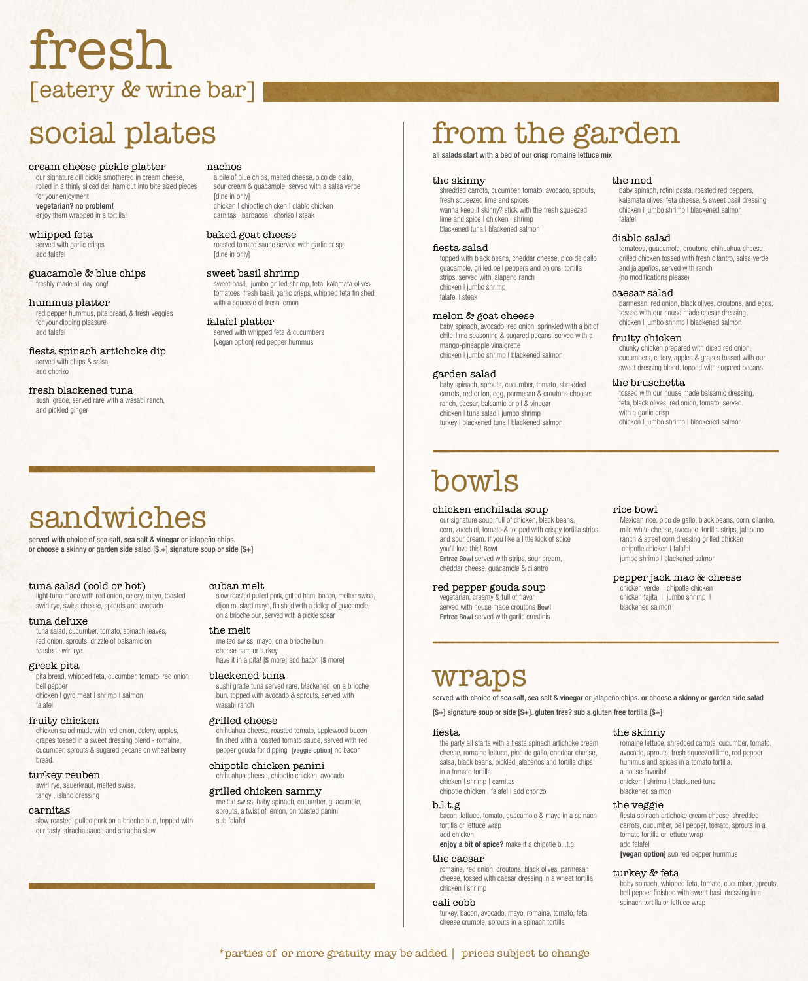## social plates

#### the skinny

shredded carrots, cucumber, tomato, avocado, sprouts, fresh squeezed lime and spices. wanna keep it skinny? stick with the fresh squeezed lime and spice I chicken I shrimp blackened tuna | blackened salmon

#### fiesta salad

topped with black beans, cheddar cheese, pico de gallo, guacamole, grilled bell peppers and onions, tortilla strips, served with jalapeno ranch chicken | jumbo shrimp falafel | steak

#### melon & goat cheese

baby spinach, avocado, red onion, sprinkled with a bit of chile-lime seasoning & sugared pecans. served with a mango-pineapple vinaigrette chicken | jumbo shrimp | blackened salmon

#### garden salad

baby spinach, sprouts, cucumber, tomato, shredded carrots, red onion, egg, parmesan & croutons choose: ranch, caesar, balsamic or oil & vinegar chicken | tuna salad | jumbo shrimp turkey | blackened tuna | blackened salmon

#### the med

baby spinach, rotini pasta, roasted red peppers, kalamata olives, feta cheese, & sweet basil dressing chicken | jumbo shrimp | blackened salmon falafel

#### diablo salad

tomatoes, guacamole, croutons, chihuahua cheese, grilled chicken tossed with fresh cilantro, salsa verde and jalapeños, served with ranch (no modifications please)

#### caesar salad

parmesan, red onion, black olives, croutons, and eggs, tossed with our house made caesar dressing chicken | jumbo shrimp | blackened salmon

#### fruity chicken

melted swiss, mayo, on a brioche bun. choose ham or turkey have it in a pita! [\$ more] add bacon [\$ more] chunky chicken prepared with diced red onion, cucumbers, celery, apples & grapes tossed with our sweet dressing blend. topped with sugared pecans

#### the bruschetta

tossed with our house made balsamic dressing, feta, black olives, red onion, tomato, served with a garlic crisp chicken | jumbo shrimp | blackened salmon

## from the garden

all salads start with a bed of our crisp romaine lettuce mix

# fresh [eatery & wine bar]

## sandwiches

served with choice of sea salt, sea salt & vinegar or jalapeño chips. or choose a skinny or garden side salad [\$.+] signature soup or side [\$+]

#### tuna salad (cold or hot)

light tuna made with red onion, celery, mayo, toasted swirl rye, swiss cheese, sprouts and avocado

#### tuna deluxe

 chipotle chicken | falafel jumbo shrimp | blackened salmon

tuna salad, cucumber, tomato, spinach leaves, red onion, sprouts, drizzle of balsamic on toasted swirl rye

pepper jack mac & cheese chicken verde | chipotle chicken chicken fajita | jumbo shrimp |

#### greek pita

pita bread, whipped feta, cucumber, tomato, red onion, bell pepper chicken I gyro meat I shrimp I salmon falafel

#### fruity chicken

chicken salad made with red onion, celery, apples, grapes tossed in a sweet dressing blend - romaine, cucumber, sprouts & sugared pecans on wheat berry bread.

#### turkey reuben

swirl rye, sauerkraut, melted swiss, tangy , island dressing

#### carnitas

slow roasted, pulled pork on a brioche bun, topped with our tasty sriracha sauce and sriracha slaw

fiesta spinach artichoke cream cheese, shredded carrots, cucumber, bell pepper, tomato, sprouts in a tomato tortilla or lettuce wrap add falafel **[vegan option]** sub red pepper hummus

#### cuban melt

slow roasted pulled pork, grilled ham, bacon, melted swiss, dijon mustard mayo, finished with a dollop of guacamole, on a brioche bun, served with a pickle spear

#### the melt

#### blackened tuna

sushi grade tuna served rare, blackened, on a brioche bun, topped with avocado & sprouts, served with wasabi ranch

#### grilled cheese

a pile of blue chips, melted cheese, pico de gallo, sour cream & guacamole, served with a salsa verde [dine in only] chicken | chipotle chicken | diablo chicken carnitas | barbacoa | chorizo | steak

chihuahua cheese, roasted tomato, applewood bacon finished with a roasted tomato sauce, served with red pepper gouda for dipping [veggie option] no bacon

chipotle chicken panini chihuahua cheese, chipotle chicken, avocado

#### grilled chicken sammy

melted swiss, baby spinach, cucumber, guacamole, sprouts, a twist of lemon, on toasted panini sub falafel

## wraps

served with choice of sea salt, sea salt & vinegar or jalapeño chips. or choose a skinny or garden side salad [\$+] signature soup or side [\$+]. gluten free? sub a gluten free tortilla [\$+]

chicken enchilada soup our signature soup, full of chicken, black beans, corn, zucchini, tomato & topped with crispy tortilla strips and sour cream. if you like a little kick of spice you'll love this! Bowl Entree Bowl served with strips, sour cream, cheddar cheese, guacamole & cilantro

#### red pepper gouda soup

vegetarian, creamy & full of flavor, served with house made croutons Bowl Entree Bowl served with garlic crostinis

rice bowl

Mexican rice, pico de gallo, black beans, corn, cilantro, mild white cheese, avocado, tortilla strips, jalapeno ranch & street corn dressing grilled chicken

blackened salmon

# bowls

#### fiesta

the party all starts with a fiesta spinach artichoke cream cheese, romaine lettuce, pico de gallo, cheddar cheese, salsa, black beans, pickled jalapeños and tortilla chips in a tomato tortilla chicken | shrimp | carnitas chipotle chicken | falafel | add chorizo

#### b.l.t.g

bacon, lettuce, tomato, guacamole & mayo in a spinach tortilla or lettuce wrap

add chicken

enjoy a bit of spice? make it a chipotle b.l.t.g

#### the caesar

romaine, red onion, croutons, black olives, parmesan cheese, tossed with caesar dressing in a wheat tortilla chicken | shrimp

#### cali cobb

turkey, bacon, avocado, mayo, romaine, tomato, feta cheese crumble, sprouts in a spinach tortilla

#### the skinny

romaine lettuce, shredded carrots, cucumber, tomato, avocado, sprouts, fresh squeezed lime, red pepper hummus and spices in a tomato tortilla. a house favorite! chicken | shrimp | blackened tuna blackened salmon

#### the veggie

#### turkey & feta

baby spinach, whipped feta, tomato, cucumber, sprouts, bell pepper finished with sweet basil dressing in a spinach tortilla or lettuce wrap

\*parties of or more gratuity may be added | prices subject to change

#### cream cheese pickle platter

our signature dill pickle smothered in cream cheese, rolled in a thinly sliced deli ham cut into bite sized pieces for your enjoyment vegetarian? no problem! enjoy them wrapped in a tortilla!

whipped feta served with garlic crisps add falafel

guacamole & blue chips freshly made all day long!

#### hummus platter

red pepper hummus, pita bread, & fresh veggies for your dipping pleasure add falafel

#### fiesta spinach artichoke dip served with chips & salsa add chorizo

#### fresh blackened tuna

sushi grade, served rare with a wasabi ranch, and pickled ginger

#### nachos

#### baked goat cheese

roasted tomato sauce served with garlic crisps [dine in only]

#### sweet basil shrimp

sweet basil, jumbo grilled shrimp, feta, kalamata olives, tomatoes, fresh basil, garlic crisps, whipped feta finished with a squeeze of fresh lemon

#### falafel platter

served with whipped feta & cucumbers [vegan option] red pepper hummus